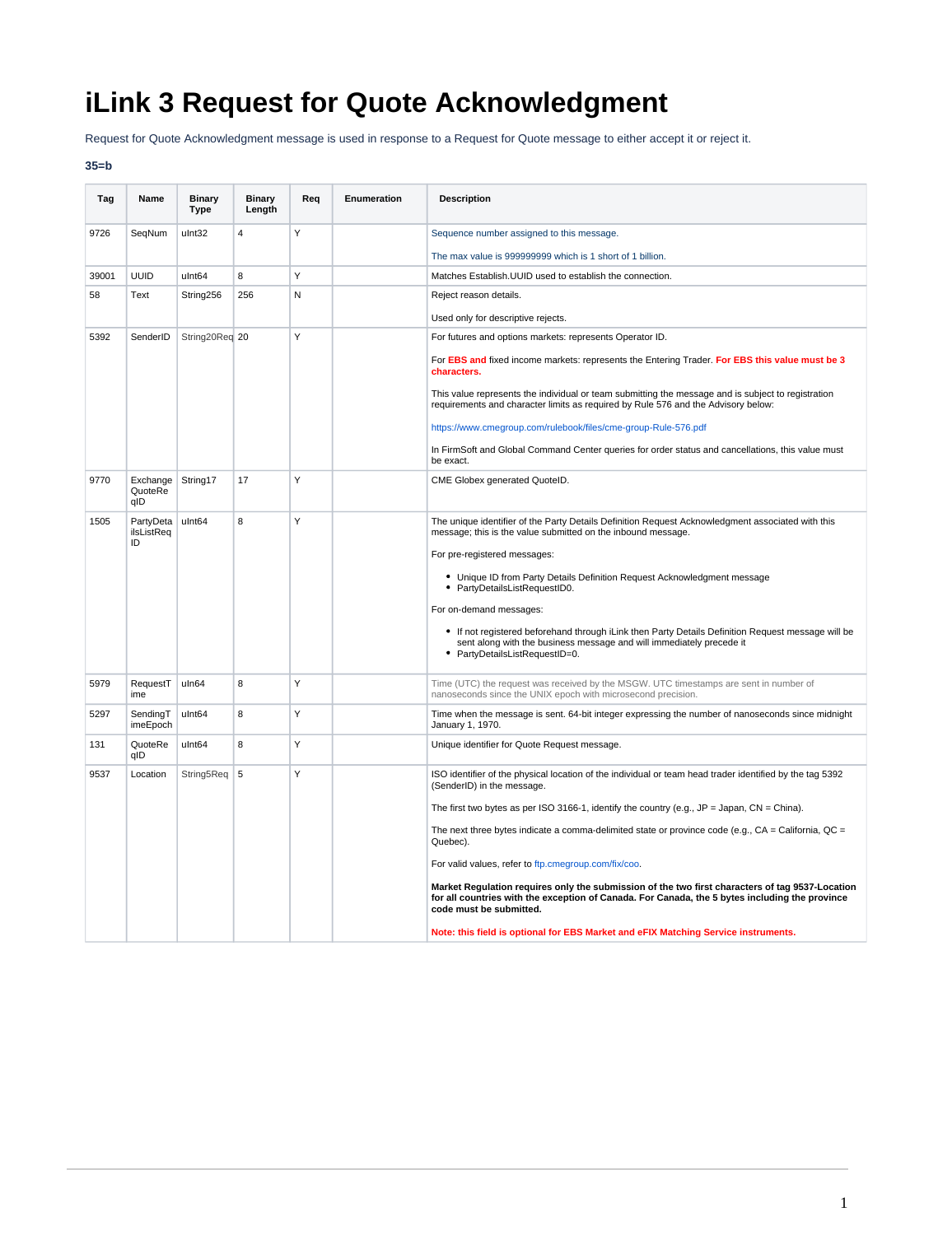## **iLink 3 Request for Quote Acknowledgment**

Request for Quote Acknowledgment message is used in response to a Request for Quote message to either accept it or reject it.

## **35=b**

| Tag   | Name                          | <b>Binary</b><br><b>Type</b> | <b>Binary</b><br>Length | Req | Enumeration | <b>Description</b>                                                                                                                                                                                                           |
|-------|-------------------------------|------------------------------|-------------------------|-----|-------------|------------------------------------------------------------------------------------------------------------------------------------------------------------------------------------------------------------------------------|
| 9726  | SeqNum                        | ulnt32                       | $\overline{4}$          | Υ   |             | Sequence number assigned to this message.                                                                                                                                                                                    |
|       |                               |                              |                         |     |             | The max value is 999999999 which is 1 short of 1 billion.                                                                                                                                                                    |
| 39001 | <b>UUID</b>                   | ulnt64                       | 8                       | Y   |             | Matches Establish. UUID used to establish the connection.                                                                                                                                                                    |
| 58    | Text                          | String256                    | 256                     | N   |             | Reject reason details.                                                                                                                                                                                                       |
|       |                               |                              |                         |     |             | Used only for descriptive rejects.                                                                                                                                                                                           |
| 5392  | SenderID                      | String20Req 20               |                         | Y   |             | For futures and options markets: represents Operator ID.                                                                                                                                                                     |
|       |                               |                              |                         |     |             | For EBS and fixed income markets: represents the Entering Trader. For EBS this value must be 3<br>characters.                                                                                                                |
|       |                               |                              |                         |     |             | This value represents the individual or team submitting the message and is subject to registration<br>requirements and character limits as required by Rule 576 and the Advisory below:                                      |
|       |                               |                              |                         |     |             | https://www.cmegroup.com/rulebook/files/cme-group-Rule-576.pdf                                                                                                                                                               |
|       |                               |                              |                         |     |             | In FirmSoft and Global Command Center queries for order status and cancellations, this value must<br>be exact.                                                                                                               |
| 9770  | Exchange<br>QuoteRe<br>qID    | String17                     | 17                      | Y   |             | CME Globex generated QuoteID.                                                                                                                                                                                                |
| 1505  | PartyDeta<br>ilsListReq<br>ID | ulnt64                       | 8                       | Y   |             | The unique identifier of the Party Details Definition Request Acknowledgment associated with this<br>message; this is the value submitted on the inbound message.                                                            |
|       |                               |                              |                         |     |             | For pre-registered messages:                                                                                                                                                                                                 |
|       |                               |                              |                         |     |             | • Unique ID from Party Details Definition Request Acknowledgment message<br>• PartyDetailsListRequestID0.                                                                                                                    |
|       |                               |                              |                         |     |             | For on-demand messages:                                                                                                                                                                                                      |
|       |                               |                              |                         |     |             | • If not registered beforehand through iLink then Party Details Definition Request message will be<br>sent along with the business message and will immediately precede it<br>• PartyDetailsListRequestID=0.                 |
| 5979  | RequestT<br>ime               | uln64                        | 8                       | Y   |             | Time (UTC) the request was received by the MSGW. UTC timestamps are sent in number of<br>nanoseconds since the UNIX epoch with microsecond precision.                                                                        |
| 5297  | SendingT<br>imeEpoch          | ulnt64                       | 8                       | Y   |             | Time when the message is sent. 64-bit integer expressing the number of nanoseconds since midnight<br>January 1, 1970.                                                                                                        |
| 131   | QuoteRe<br>qID                | ulnt64                       | 8                       | Y   |             | Unique identifier for Quote Request message.                                                                                                                                                                                 |
| 9537  | Location                      | String5Req                   | $\vert 5 \vert$         | Y   |             | ISO identifier of the physical location of the individual or team head trader identified by the tag 5392<br>(SenderID) in the message.                                                                                       |
|       |                               |                              |                         |     |             | The first two bytes as per ISO 3166-1, identify the country (e.g., $JP = Japan$ , $CN = China$ ).                                                                                                                            |
|       |                               |                              |                         |     |             | The next three bytes indicate a comma-delimited state or province code (e.g., $CA = California$ , $QC =$<br>Quebec).                                                                                                         |
|       |                               |                              |                         |     |             | For valid values, refer to ftp.cmegroup.com/fix/coo.                                                                                                                                                                         |
|       |                               |                              |                         |     |             | Market Regulation requires only the submission of the two first characters of tag 9537-Location<br>for all countries with the exception of Canada. For Canada, the 5 bytes including the province<br>code must be submitted. |
|       |                               |                              |                         |     |             | Note: this field is optional for EBS Market and eFIX Matching Service instruments.                                                                                                                                           |